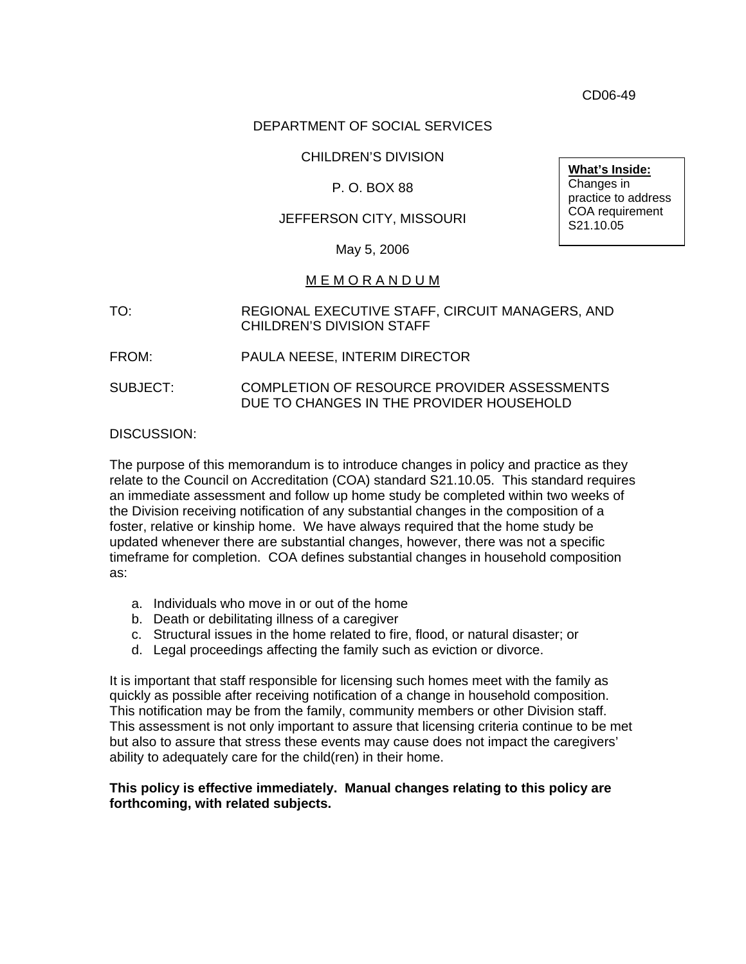CD06-49

## DEPARTMENT OF SOCIAL SERVICES

## CHILDREN'S DIVISION

## P. O. BOX 88

## JEFFERSON CITY, MISSOURI

**What's Inside:** Changes in practice to address COA requirement S21.10.05

#### May 5, 2006

#### M E M O R A N D U M

TO: REGIONAL EXECUTIVE STAFF, CIRCUIT MANAGERS, AND CHILDREN'S DIVISION STAFF

#### FROM: PAULA NEESE, INTERIM DIRECTOR

SUBJECT: COMPLETION OF RESOURCE PROVIDER ASSESSMENTS DUE TO CHANGES IN THE PROVIDER HOUSEHOLD

#### DISCUSSION:

The purpose of this memorandum is to introduce changes in policy and practice as they relate to the Council on Accreditation (COA) standard S21.10.05. This standard requires an immediate assessment and follow up home study be completed within two weeks of the Division receiving notification of any substantial changes in the composition of a foster, relative or kinship home. We have always required that the home study be updated whenever there are substantial changes, however, there was not a specific timeframe for completion. COA defines substantial changes in household composition as:

- a. Individuals who move in or out of the home
- b. Death or debilitating illness of a caregiver
- c. Structural issues in the home related to fire, flood, or natural disaster; or
- d. Legal proceedings affecting the family such as eviction or divorce.

It is important that staff responsible for licensing such homes meet with the family as quickly as possible after receiving notification of a change in household composition. This notification may be from the family, community members or other Division staff. This assessment is not only important to assure that licensing criteria continue to be met but also to assure that stress these events may cause does not impact the caregivers' ability to adequately care for the child(ren) in their home.

#### **This policy is effective immediately. Manual changes relating to this policy are forthcoming, with related subjects.**